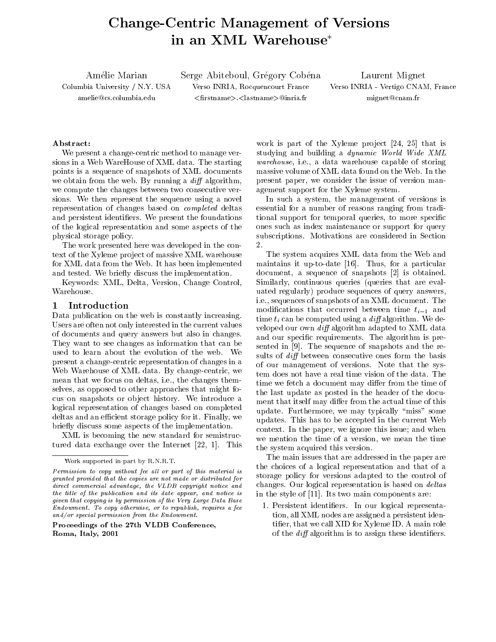# Change-Centric Management of Versions an XML Warehouse

Amélie Marian Serge Abiteboul, Grégory Cobéna Laurent Mignet Columbia University / N.Y. USA Verso INRIA, Rocquencourt France Verso INRIA - Vertigo CNAM, France amelie@cs.columbia.edu <firstname>.<lastname>@inria.fr mignet@cnam.fr

# Abstract:

We present a change-centric method to manage versions in a Web WareHouse of XML data. The starting points is a sequence of snapshots of XML documents we obtain from the web. By running a  $diff$  algorithm, we compute the changes between two consecutive versions. We then represent the sequence using a novel representation of changes based on completed deltas and persistent identifiers. We present the foundations of the logical representation and some aspects of the physical storage policy.

The work presented here was developed in the context of the Xyleme project of massive XML warehouse for XML data from the Web. It has been implemented and tested. We briefly discuss the implementation.

Keywords: XML, Delta, Version, Change Control, Warehouse.

#### 1Introduction

Data publication on the web is constantly increasing. Users are often not only interested in the current values of documents and query answers but also in changes. They want to see changes as information that can be used to learn about the evolution of the web. We presentachange-centric representation of changes in a Web Warehouse of XML data. By change-centric, we mean that we focus on deltas, i.e., the changes themselves, as opposed to other approaches that might focus on snapshots or ob ject history. We introduce a logical representation of changes based on completed deltas and an efficient storage policy for it. Finally, we briefly discuss some aspects of the implementation.

XML is becoming the new standard for semistructured data exchange over the Internet [22, 1]. This

Proceedings of the 27th VLDB Conference,Roma, Italy, 2001

work is part of the Xyleme project  $[24, 25]$  that is studying and building a dynamic World Wide XML warehouse, i.e., a data warehouse capable of storing massive volume of XML data found on the Web. In the present paper, we consider the issue of version management support for the Xyleme system.

In such a system, the management of versions is essential for a number of reasons ranging from traditional support for temporal queries, to more specic ones such as index maintenance or support for query subscriptions. Motivations are considered in Section 2.

The system acquires XML data from the Web and maintains it up-to-date [16]. Thus, for a particular document, a sequence of snapshots [2] is obtained. Similarly, continuous queries (queries that are evaluated regularly) produce sequences of query answers, i.e., sequences of snapshots of an XML document. The modifications that occurred between time  $t_{i-1}$  and time  $t_i$  can be computed using a diff algorithm. We developed our own  $\text{diff}$  algorithm adapted to XML data and our specific requirements. The algorithm is presented in [9]. The sequence of snapshots and the results of  $diff$  between consecutive ones form the basis of our management of versions. Note that the system does not have a real time vision of the data. The time we fetch a document may differ from the time of the last update as posted in the header of the document that itself may differ from the actual time of this update. Furthermore, we may typically "miss" some updates. This has to be accepted in the current Web context. In the paper, we ignore this issue; and when we mention the time of a version, we mean the time the system acquired this version.

 changes. Our logical representation is based on deltas The main issues that are addressed in the paper are the choices of a logical representation and that of a storage policy for versions adapted to the control of in the style of [11]. Its two main components are:

 1. Persistent identiers. In our logical representation, all XML nodes are assigned a persistent identier, that we call XID for Xyleme ID. A main role of the  $diff$  algorithm is to assign these identifiers.

Work supported in part by R.N.R.T.

 $F$ ermission to copy without fee all or part of this material is  $F$ granted provided that the copies are not made or distributed for $\overline{u}$  and commercial advantage, the VLDD copyright notice and  $\overline{u}$   $\overline{u}$ the title of the publication and its date appear, and notice is  $\eta$ given that copying is by permission of the Very Large Data BaseEndowment. To copy otherwise, or to republish, requires a fee and/or special permission from the Endowment.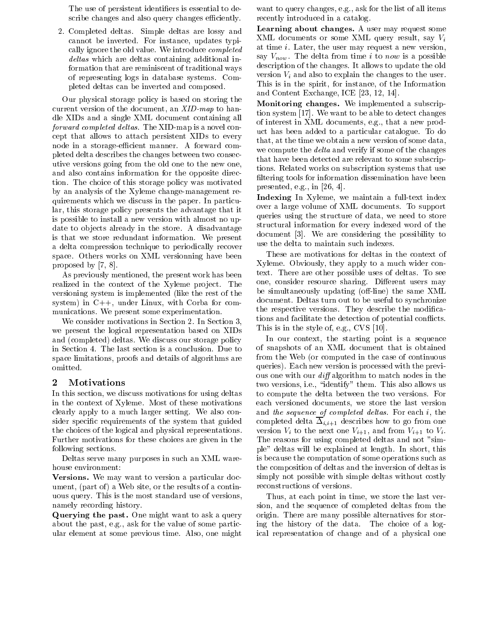The use of persistent identifiers is essential to describe changes and also query changes efficiently.

2. Completed deltas. Simple deltas are lossy and cannot be inverted. For instance, updates typically ignore the old value. We introduce completed deltas which are deltas containing additional information that are reminiscent of traditional ways of representing logs in database systems. Completed deltas can be inverted and composed.

Our physical storage policy is based on storing the current version of the document, an  $XID$ -map to handle XIDs and a single XML document containing all forward completed deltas. The XID-map is a novel concept that allows to attach persistent XIDs to every node in a storage-efficient manner. A forward completed delta describes the changes between two consecutive versions going from the old one to the new one, and also contains information for the opposite direction. The choice of this storage policy was motivated by an analysis of the Xyleme change-management requirements which we discuss in the paper. In particular, this storage policy presents the advantage that it is possible to install a new version with almost no update to objects already in the store. A disadvantage is that we store redundant information. We present a delta compression technique to periodically recover space. Others works on XML versionning have been proposed by [7, 8].

As previously mentioned, the present work has been realized in the context of the Xyleme project. The versioning system is implemented (like the rest of the system) in C++, under Linux, with Corba for com munications. We present some experimentation.

We consider motivations in Section 2. In Section 3, we present the logical representation based on XIDs and (completed) deltas. We discuss our storage policy in Section 4. The last section is a conclusion. Due to space limitations, proofs and details of algorithms are omitted.

### 2Motivations

In this section, we discuss motivations for using deltas in the context of Xyleme. Most of these motivations clearly apply to a much larger setting. We also consider specific requirements of the system that guided the choices of the logical and physical representations. Further motivations for these choices are given in the following sections.

Deltas serve many purposes in such an XML warehouse environment:

Versions. We may want to version a particular document, (part of) a Web site, or the results of a continuous query. This is the most standard use of versions, namely recording history.

Querying the past. One might want to ask a query about the past, e.g., ask for the value of some particular element at some previous time. Also, one might

want to query changes, e.g., ask for the list of all items recently introduced in a catalog.

Learning about changes. A user may request some XML documents or some XML query result, say  $V_i$ at time i. Later, the user may request a new version, say  $V_{now}$ . The delta from time *i* to now is a possible description of the changes. It allows to update the old version  $V_i$  and also to explain the changes to the user. This is in the spirit, for instance, of the Information and Content Exchange, ICE [23, 12, 14].

Monitoring changes. We implemented a subscription system [17]. We want to be able to detect changes of interest in XML documents, e.g., that a new product has been added to a particular catalogue. To do that, at the time we obtain a new version of some data, we compute the *delta* and verify if some of the changes that have been detected are relevant to some subscriptions. Related works on subscription systems that use filtering tools for information dissemination have been presented, e.g., in [26, 4].

Indexing In Xyleme, we maintain a full-text index over a large volume of XML documents. To support queries using the structure of data, we need to store structural information for every indexed word of the document [3]. We are considering the possibility to use the delta to maintain such indexes.

These are motivations for deltas in the context of Xyleme. Obviously, they apply to a much wider context. There are other possible uses of deltas. To see one, consider resource sharing. Different users may be simultaneously updating (off-line) the same XML document. Deltas turn out to be useful to synchronize the respective versions. They describe the modications and facilitate the detection of potential con
icts. This is in the style of, e.g., CVS [10].

In our context, the starting point is a sequence of snapshots of an XML document that is obtained from the Web (or computed in the case of continuous queries). Each new version is processed with the previous one with our  $diff$  algorithm to match nodes in the two versions, i.e., "identify" them. This also allows us to compute the delta between the two versions. For each versioned documents, we store the last version and the sequence of completed deltas. For each  $i$ , the completed delta  $\overline{\Delta}_{i,i+1}$  describes how to go from one version  $V_i$  to the next one  $V_{i+1}$ , and from  $V_{i+1}$  to  $V_i$ . The reasons for using completed deltas and not "simple" deltas will be explained at length. In short, this is because the computation of some operations such as the composition of deltas and the inversion of deltas is simply not possible with simple deltas without costly reconstructions of versions.

Thus, at each point in time, we store the last version, and the sequence of completed deltas from the origin. There are many possible alternatives for storing the history of the data. The choice of a logical representation of change and of a physical one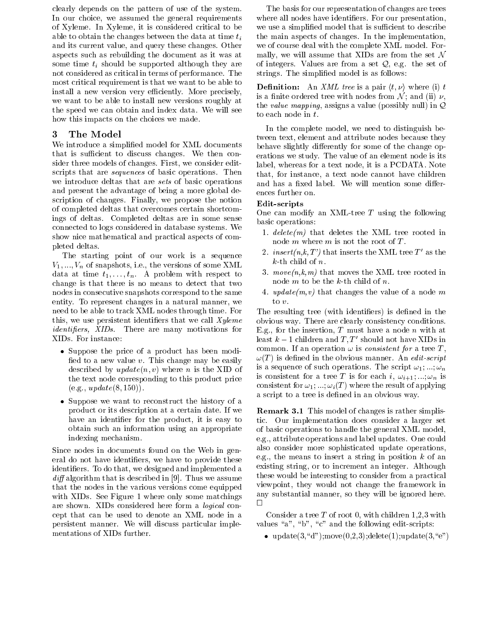clearly depends on the pattern of use of the system. In our choice, we assumed the general requirements of Xyleme. In Xyleme, it is considered critical to be able to obtain the changes between the data at time  $t_i$ and its current value, and query these changes. Other aspects such as rebuilding the document as it was at some time  $t_i$  should be supported although they are not considered as critical in terms of performance. The most critical requirement is that we want to be able to install a new version very efficiently. More precisely, we want to be able to install new versions roughly at the speed we can obtain and index data. We will see how this impacts on the choices we made.

### 3The Model

We introduce a simplied model for XML documents that is sufficient to discuss changes. We then consider three models of changes. First, we consider editscripts that are *sequences* of basic operations. Then we introduce deltas that are sets of basic operations and present the advantage of being a more global description of changes. Finally, we propose the notion of completed deltas that overcomes certain shortcomings of deltas. Completed deltas are in some sense connected to logs considered in database systems. We show nice mathematical and practical aspects of completed deltas.

The starting point of our work is a sequence  $V_1, \ldots, V_n$  of snapshots, i.e., the versions of some XML data at time  $t_1,\ldots,t_n$ . A problem with respect to change is that there is no means to detect that two nodes in consecutive snapshots correspond to the same entity. To represent changes in a natural manner, we need to be able to track XML nodes through time. For this, we use persistent identifiers that we call  $xy$ leme identiers, XIDs. There are many motivations for XIDs. For instance:

- Suppose the price of a product has been modi fied to a new value  $v$ . This change may be easily described by  $update(n, v)$  where *n* is the XID of the text node corresponding to this product price  $(e.g., update(8, 150)).$
- Suppose we want to reconstruct the history of a product or its description at a certain date. If we have an identifier for the product, it is easy to obtain such an information using an appropriate indexing mechanism.

Since nodes in documents found on the Web in general do not have identiers, we have to provide these identiers. To do that, we designed and implemented a  $\alpha$ l algorithm that is described in  $\beta$ . Thus we assume that the nodes in the various versions come equipped with XIDs. See Figure 1 where only some matchings  $\overline{a}$ are shown. XIDs considered here form a logical concept that can be used to denote an XML node in a persistent manner. We will discuss particular implementations of XIDs further.

The basis for our representation of changes are trees where all nodes have identifiers. For our presentation, we use a simplified model that is sufficient to describe the main aspects of changes. In the implementation, we of course deal with the complete XML model. Formally, we will assume that XIDs are from the set  $\mathcal N$ of integers. Values are from a set  $Q$ , e.g. the set of strings. The simplied model is as follows:

**Definition:** An XML tree is a pair  $\langle t, \nu \rangle$  where (i) t is a finite ordered tree with nodes from  $\mathcal{N}_1$ ; and (ii)  $\nu$ , the *value mapping*, assigns a value (possibly null) in  $Q$ to each node in t.

In the complete model, we need to distinguish between text, element and attribute nodes because they behave slightly differently for some of the change operations we study. The value of an element node is its label, whereas for a text node, it is a PCDATA. Note that, for instance, a text node cannot have children and has a fixed label. We will mention some differences further on.

# Edit-scripts

One can modify an XML-tree  $T$  using the following basic operations:

- 1.  $delete(m)$  that deletes the XML tree rooted in node  $m$  where  $m$  is not the root of  $T$ .
- 2. insert(n,k, T') that inserts the XML tree T' as the  $k$ -th child of  $n$ .
- 3.  $move(n,k,m)$  that moves the XML tree rooted in node  $m$  to be the  $k$ -th child of  $n$ .
- 4. update $(m, v)$  that changes the value of a node m to  $v$ .

The resulting tree (with identifiers) is defined in the obvious way. There are clearly consistency conditions. E.g., for the insertion,  $T$  must have a node  $n$  with at least  $k-1$  children and  $T, T'$  should not have XIDs in common. If an operation  $\omega$  is *consistent for* a tree T,  $\omega(T)$  is defined in the obvious manner. An edit-script is a sequence of such operations. The script  $\omega_1$ ,  $\ldots$ ,  $\omega_n$ is consistent for a tree T is for each i,  $\omega_{i+1}, \ldots, \omega_n$  is consistent for  $\omega_1$ ; ...;  $\omega_i(T)$  where the result of applying a script to a tree is defined in an obvious way.

Remark 3.1 This model of changes is rather simplistic. Our implementation does consider a larger set of basic operations to handle the general XML model, e.g., attribute operations and label updates. One could also consider more sophisticated update operations, e.g., the means to insert a string in position  $k$  of an existing string, or to increment an integer. Although these would be interesting to consider from a practical viewpoint, they would not change the framework in any substantial manner, so they will be ignored here.

Consider a tree  $T$  of root 0, with children 1,2,3 with values " $a$ ", " $b$ ", " $c$ " and the following edit-scripts:

• update $(3, "d")$ ;move $(0,2,3)$ ;delete $(1)$ ;update $(3, "e")$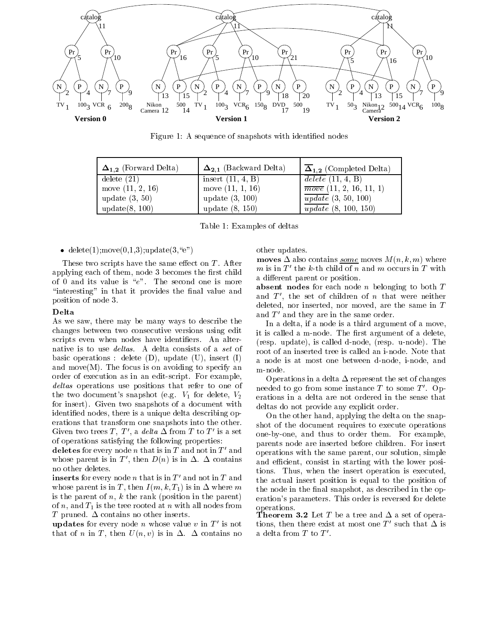

Figure 1: A sequence of snapshots with identified nodes

| $\Delta_{1,2}$ (Forward Delta) | $\Delta_{2,1}$ (Backward Delta) | $\overline{\Delta}_{1,2}$ (Completed Delta) |
|--------------------------------|---------------------------------|---------------------------------------------|
| delete(21)                     | insert $(11, 4, B)$             | $\overline{delete}$ (11, 4, B)              |
| move $(11, 2, 16)$             | move $(11, 1, 16)$              | $\overline{move}$ (11, 2, 16, 11, 1)        |
| update $(3, 50)$               | update $(3, 100)$               | $\overline{update}$ (3, 50, 100)            |
| update(8, 100)                 | update $(8, 150)$               | $\overline{update}$ (8, 100, 150)           |

Table 1: Examples of deltas

• delete $(1)$ ;move $(0,1,3)$ ;update $(3, \text{``e''})$ 

These two scripts have the same effect on  $T$ . After applying each of them, node 3 becomes the first child of 0 and its value is " $e$ ". The second one is more "interesting" in that it provides the final value and position of node 3.

### Delta

As we saw, there may be many ways to describe the changes between two consecutive versions using edit scripts even when nodes have identifiers. An alternative is to use deltas. A delta consists of a set of basic operations : delete  $(D)$ , update  $(U)$ , insert  $(I)$ and move(M). The focus is on avoiding to specify an  $m$ -node. order of execution as in an edit-script. For example, deltas operations use positions that refer to one of the the two document's snapshot (e.g.  $V_1$  for delete,  $V_2$ for insert). Given two snapshots of a document with identied nodes, there is a unique delta describing operations that transform one snapshots into the other. Given two trees T, T', a delta  $\Delta$  from T to T' is a set of operations satisfying the following properties:

deletes for every node  $n$  that is in  $T$  and not in  $T'$  and whose parent is in T', then  $D(n)$  is in  $\Delta$ .  $\Delta$  contains no other deletes.

inserts for every node n that is in  $T'$  and not in T and whose parent is in T, then  $I(m, k, T_1)$  is in  $\Delta$  where m is the parent of  $n, k$  the rank (position in the parent) of n, and  $T_1$  is the tree rooted at n with all nodes from T pruned.  $\Delta$  contains no other inserts.

**updates** for every node *n* whose value *v* in  $T'$  is not that of n in T, then  $U(n, v)$  is in  $\Delta$ .  $\Delta$  contains no other updates.

**moves**  $\Delta$  also contains *some* moves  $M(n, k, m)$  where m is in  $T'$  the k-th child of n and m occurs in T with a different parent or position.

absent nodes for each node  $n$  belonging to both  $T$ and  $T'$ , the set of children of n that were neither deleted, nor inserted, nor moved, are the same in <sup>T</sup> and  $T'$  and they are in the same order.

In a delta, if a node is a third argument of a move, it is called a m-node. The first argument of a delete, (resp. update), is called d-node, (resp. u-node). The root of an inserted tree is called an i-node. Note that a node is at most one between d-node, i-node, and

Operations in a delta  $\Delta$  represent the set of changes needed to go from some instance  $T$  to some  $T'$ . Operations in a delta are not ordered in the sense that deltas do not provide any explicit order.

On the other hand, applying the delta on the snapshot of the document requires to execute operations one-by-one, and thus to order them. For example, parents node are inserted before children. For insert operations with the same parent, our solution, simple and efficient, consist in starting with the lower positions. Thus, when the insert operation is executed, the actual insert position is equal to the position of the node in the final snapshot, as described in the operation's parameters. This order is reversed for delete operations.

Theorem 3.2 Let <sup>T</sup> be a tree and a set of operations, then there exist at most one T' such that  $\Delta$  is a delta from  $T$  to  $T'$ .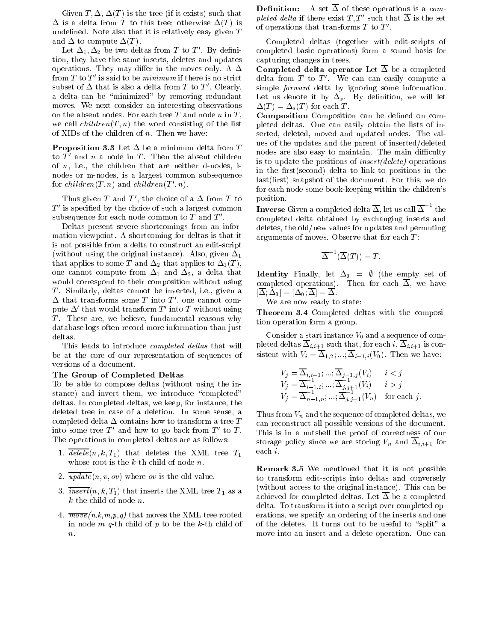Given  $T, \Delta, \Delta(T)$  is the tree (if it exists) such that  $\Delta$  is a delta from T to this tree; otherwise  $\Delta(T)$  is  $\Delta(T)$  of operations that transforms T to T'. undefined. Note also that it is relatively easy given  $T$ and  $\Delta$  to compute  $\Delta(T)$ .

Let  $\Delta_1, \Delta_2$  be two deltas from T to T'. By definition, they have the same inserts, deletes and updates operations. They may differ in the moves only. A  $\Delta$ from  $T$  to  $T'$  is said to be *minimum* if there is no strict subset of  $\Delta$  that is also a delta from T to T'. Clearly, a delta can be "minimized" by removing redundant moves. We next consider an interesting observations on the absent nodes. For each tree T and node n in T, we call  $children(T, n)$  the word consisting of the list of XIDs of the children of  $n$ . Then we have:

**Proposition 3.3** Let  $\Delta$  be a minimum delta from T to  $T'$  and n a node in T. Then the absent children of  $n$ , i.e., the children that are neither d-nodes, inodes or m-nodes, is a largest common subsequence for  $children(T, n)$  and  $children(T', n)$ .

Thus given T and T', the choice of a  $\Delta$  from T to  $T'$  is specified by the choice of such a largest common subsequence for each node common to  $T$  and  $T'$ .

Deltas present severe shortcomings from an information viewpoint. A shortcoming for deltas is that it is not possible from a delta to construct an edit-script (without using the original instance). Also, given  $\Delta_1$ that applies to some T and  $\Delta_2$  that applies to  $\Delta_1(T)$ , one cannot compute from  $\Delta_1$  and  $\Delta_2$ , a delta that would correspond to their composition without using T. Similarly, deltas cannot be inverted, i.e., given a  $\Delta$  that transforms some T into T', one cannot compute  $\Delta'$  that would transform T' into T without using T. These are, we believe, fundamental reasons why database logs often record more information than just deltas.

This leads to introduce *completed deltas* that will be at the core of our representation of sequences of versions of a document.

### The Group of Completed Deltas

To be able to compose deltas (without using the instance) and invert them, we introduce "completed" deltas. In completed deltas, we keep, for instance, the deleted tree in case of a deletion. In some sense, a completed delta  $\Delta$  contains how to transform a tree T into some tree  $T'$  and how to go back from  $T'$  to  $T$ .<br>The operations in completed deltas are as follows:

- 1.  $\overline{delete}(n, k, T_1)$  that deletes the XML tree  $T_1$ whose root is the k-th child of node *n*.<br>2.  $\frac{update(n, v, ov)}{update(n, v, ov)}$  where *ov* is the old value.
- 
- 3.  $\overline{insert}(n, k, T_1)$  that inserts the XML tree  $T_1$  as a k-the child of node *n*.<br>4.  $\overline{move}(n,k,m,p,q)$  that moves the XML tree rooted
- in node  $m$  q-th child of  $p$  to be the  $k$ -th child of

**Definition:** A set  $\overline{\Delta}$  of these operations is a completed delta if there exist  $T$ ; T such that  $\Delta$  is the set

Completed deltas (together with edit-scripts of completed basic operations) form a sound basis for capturing changes in trees.

Completed delta operator Let  $\overline{\Delta}$  be a completed delta from  $T$  to  $T'$ . We can can easily compute a simple forward delta by ignoring some information. Let us denote it by  $\Delta_s$ . By definition, we will let  $\overline{\Delta}(T) = \Delta_s(T)$  for each T.

Composition Composition can be defined on completed deltas. One can easily obtain the lists of inserted, deleted, moved and updated nodes. The values of the updates and the parent of inserted/deleted nodes are also easy to maintain. The main difficulty is to update the positions of insert(delete) operations in the first(second) delta to link to positions in the  $last(first)$  snapshot of the document. For this, we do for each node some book-keeping within the children's position.

**Inverse** Given a completed delta  $\Delta$ , let us call  $\Delta$   $\bar{}$  the completed delta obtained by exchanging inserts and deletes, the old/new values for updates and permuting arguments of moves. Observe that for each  $T$ :

$$
\overline{\Delta}^{-1}(\overline{\Delta}(T)) = T.
$$

**Identity** Finally, let  $\Delta_0 = \emptyset$  (the empty set of completed operations). Then for each  $\overline{\Delta}$ , we have  $[\Delta; \Delta_0] = [\Delta_0; \Delta] = \Delta.$ 

We are now ready to state:

Theorem 3.4 Completed deltas with the composition operation form a group.

Consider a start instance  $V_0$  and a sequence of completed deltas  $\overline{\Delta}_{i,i+1}$  such that, for each i,  $\overline{\Delta}_{i,i+1}$  is consistent with  $V_i = \overline{\Delta}_{1,2}; \dots; \overline{\Delta}_{i-1,i}(V_0)$ . Then we have:

$$
V_j = \overline{\Delta}_{i,i+1}; \dots; \overline{\Delta}_{j-1,j}(V_i) \quad i < j
$$
  
\n
$$
V_j = \overline{\Delta}_{i-1,i}^{-1}; \dots; \overline{\Delta}_{j,j+1}^{-1}(V_i) \quad i > j
$$
  
\n
$$
V_j = \overline{\Delta}_{n-1,n}^{-1}; \dots; \overline{\Delta}_{j,j+1}^{-1}(V_n) \quad \text{for each } j.
$$

Thus from  $V_n$  and the sequence of completed deltas, we can reconstruct all possible versions of the document. This is in a nutshell the proof of correctness of our storage policy since we are storing  $V_n$  and  $\overline{\Delta}_{i,i+1}$  for each i.

Remark 3.5 We mentioned that it is not possible to transform edit-scripts into deltas and conversely (without access to the original instance). This can be achieved for completed deltas. Let  $\overline{\Delta}$  be a completed delta. To transform it into a script over completed operations, we specify an ordering of the inserts and one of the deletes. It turns out to be useful to "split" a move into an insert and a delete operation. One can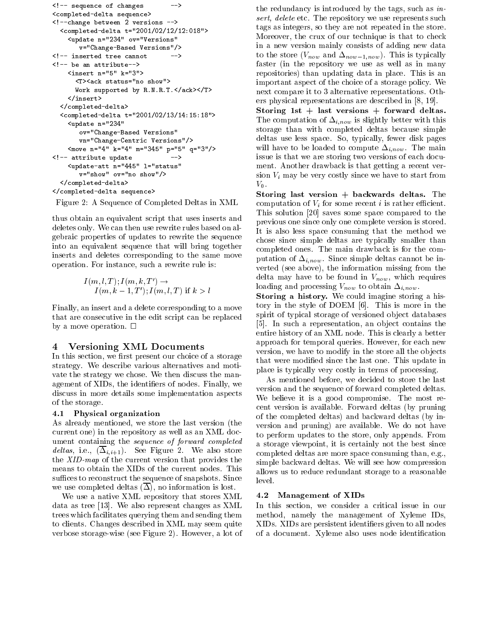```
\sim sequence of changes \sim<completed-delta sequence>
\sim -change between 2 versions \sim<completed-delta t="2001/02/12/12:018">
       <update n="234" ov="Versions"
            v="Change-Based Versions"/>
                                                      --&><insert n="5" k="3">
          \sim . And in the status status status status status status status status status status status status status status status status status status status status status status status status status status status status status 
          W supported by W and W \uparrow W . The results of W is the support of W is the support of W</insert></completed-delta><completed-delta t="2001/02/13/14:15:18">
       \sim 234 \sim 234 \sim 234 \sim 234 \sim 234 \sim 234 \sim 234 \sim 234 \sim 234 \sim 234 \sim 234 \sim 234 \sim 234 \sim 234 \sim 234 \sim 234 \sim 234 \sim 234 \sim 234 \sim 234 \sim 234 \sim 234 \sim 234 \sim 234 \sim 
            ov="Change-Based Versions"
            vn="Change-Centric Versions"/>
       \sim 4" \sim 4" \sim 4" p="3" p="3" p="3"
\sim at the second value of \sim . The second second second second second second second second second second second second second second second second second second second second second second second second second second 
       <update-att n="445" l="status"
            v="show" ov="no show"/>
   </completed-delta>\sim completed as a sequence of \sim
```
Figure 2: A Sequence of Completed Deltas in XML

thus obtain an equivalent script that uses inserts and deletes only. We can then use rewrite rules based on algebraic properties of updates to rewrite the sequence into an equivalent sequence that will bring together inserts and deletes corresponding to the same move operation. For instance, such a rewrite rule is:

$$
I(m, l, T); I(m, k, T') \rightarrow
$$
  
I(m, k - 1, T'); I(m, l, T) if k > l

Finally, an insert and a delete corresponding to a move that are consecutive in the edit script can be replaced by a move operation.  $\square$ 

#### 4Versioning XML Documents

In this section, we first present our choice of a storage strategy. We describe various alternatives and moti vate the strategy we chose. We then discuss the management of XIDs, the identifiers of nodes. Finally, we discuss in more details some implementation aspects of the storage.

### 4.1 Physical organization

As already mentioned, we store the last version (the current one) in the repository as well as an XML document containing the sequence of forward completed deltas, i.e.,  $(\overline{\Delta}_{i,i+1})$ . See Figure 2. We also store the XID-map of the current version that provides the means to obtain the XIDs of the current nodes. This suffices to reconstruct the sequence of snapshots. Since we use completed deltas  $(\Delta)$ , no information is lost.

We use a native XML repository that stores XML data as tree [13]. We also represent changes as XML trees which facilitates querying them and sending them to clients. Changes described in XML may seem quite verbose storage-wise (see Figure 2). However, a lot of the redundancy is introduced by the tags, such as insert, delete etc. The repository we use represents such tags as integers, so they are not repeated in the store. Moreover, the crux of our technique is that to check in a new version mainly consists of adding new data to the store  $(V_{now}$  and  $\Delta_{now-1,now})$ . This is typically faster (in the repository we use as well as in many repositories) than updating data in place. This is an important aspect of the choice of a storage policy. We next compare it to 3 alternative representations. Others physical representations are described in [8, 19].

Storing 1st  $+$  last versions  $+$  forward deltas. The computation of  $\Delta_{i,now}$  is slightly better with this storage than with completed deltas because simple deltas use less space. So, typically, fewer disk pages will have to be loaded to compute  $\Delta_{i,now}$ . The main issue is that we are storing two versions of each document. Another drawback is that getting a recent version  $V_i$  may be very costly since we have to start from  $V_0$ .

Storing last version  $+$  backwards deltas. The computation of  $V_i$  for some recent i is rather efficient. This solution  $[20]$  saves some space compared to the previous one since only one complete version is stored. It is also less space consuming that the method we chose since simple deltas are typically smaller than completed ones. The main drawback is for the computation of  $\Delta_{i,now}$ . Since simple deltas cannot be inverted (see above), the information missing from the delta may have to be found in  $V_{now}$ , which requires loading and processing  $V_{now}$  to obtain  $\Delta_{i,now}$ .

Storing a history. We could imagine storing a history in the style of DOEM [6]. This is more in the spirit of typical storage of versioned object databases [5]. In such a representation, an ob ject contains the entire history of an XML node. This is clearly a better approach for temporal queries. However, for each new version, we have to modify in the store all the objects that were modied since the last one. This update in place is typically very costly in terms of processing.

As mentioned before, we decided to store the last version and the sequence of forward completed deltas. We believe it is a good compromise. The most recent version is available. Forward deltas (by pruning of the completed deltas) and backward deltas (by in version and pruning) are available. We do not have to perform updates to the store, only appends. From a storage viewpoint, it is certainly not the best since completed deltas are more space consuming than, e.g., simple backward deltas. We will see how compression allows us to reduce redundant storage to a reasonable level.

### 4.2 Management of XIDs

In this section, we consider a critical issue in our method, namely the management of Xyleme IDs, XIDs. XIDs are persistent identiers given to all nodes of a document. Xyleme also uses node identication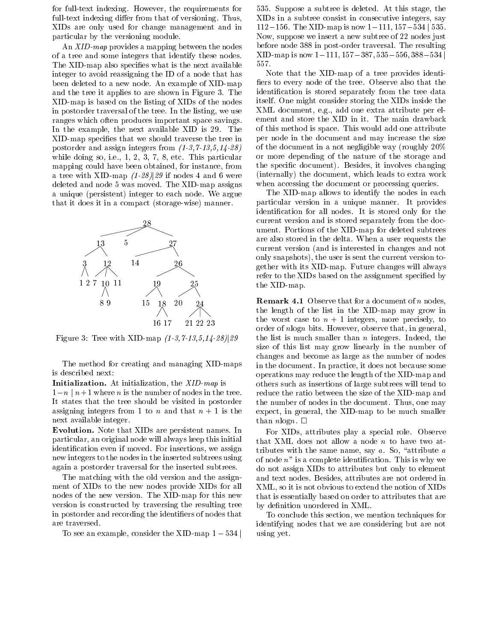for full-text indexing. However, the requirements for full-text indexing differ from that of versioning. Thus, XIDs are only used for change management and in particular by the versioning module.

An XID-map provides a mapping between the nodes of a tree and some integers that identify these nodes. The XID-map also specifies what is the next available integer to avoid reassigning the ID of a node that has been deleted to a new node. An example of XID-map and the tree it applies to are shown in Figure 3. The XID-map is based on the listing of XIDs of the nodes in postorder traversal of the tree. In the listing, we use ranges which often produces important space savings. In the example, the next available XID is 29. The XID-map species that we should traverse the tree in postorder and assign integers from (1-3,7-13,5,14-28) while doing so, i.e., 1, 2, 3, 7, 8, etc. This particular mapping could have been obtained, for instance, from a tree with XID-map  $(1-28)/29$  if nodes 4 and 6 were deleted and node 5 was moved. The XID-map assigns a unique (persistent) integer to each node. We argue that it does it in a compact (storage-wise) manner.



Figure 3: Tree with XID-map  $(1-3,7-13,5,14-28)/29$ 

The method for creating and managing XID-maps is described next:

**Initialization.** At initialization, the  $XID$ -map is  $1-n \mid n+1$  where *n* is the number of nodes in the tree. It states that the tree should be visited in postorder assigning integers from 1 to n and that  $n + 1$  is the next available integer.

Evolution. Note that XIDs are persistent names. In particular, an original node will always keep this initial identication even if moved. For insertions, we assign new integers to the nodes in the inserted subtrees using again a postorder traversal for the inserted subtrees.

The matching with the old version and the assignment of XIDs to the new nodes provide XIDs for all nodes of the new version. The XID-map for this new version is constructed by traversing the resulting tree in postorder and recording the identiers of nodes that are traversed.

To see an example, consider the XID-map  $1 - 534$ 

535. Suppose a subtree is deleted. At this stage, the XIDs in a subtree consist in consecutive integers, say 112–156. The XID-map is now  $1-111$ ,  $157-534$  | 535. Now, suppose we insert a new subtree of 22 nodes just before node 388 in post-order traversal. The resulting XID-map is now  $1-111$ ,  $157-387$ ,  $535-556$ ,  $388-534$ 557.

Note that the XID-map of a tree provides identi fiers to every node of the tree. Observe also that the identification is stored separately from the tree data itself. One might consider storing the XIDs inside the XML document, e.g., add one extra attribute per element and store the XID in it. The main drawback of this method is space. This would add one attribute per node in the document and may increase the size of the document in a not negligible way (roughly 20% or more depending of the nature of the storage and the specic document). Besides, it involves changing (internally) the document, which leads to extra work when accessing the document or processing queries.

The XID-map allows to identify the nodes in each particular version in a unique manner. It provides identication for all nodes. It is stored only for the current version and is stored separately from the document. Portions of the XID-map for deleted subtrees are also stored in the delta. When a user requests the current version (and is interested in changes and not only snapshots), the user is sent the current version together with its XID-map. Future changes will always refer to the XIDs based on the assignment specified by the XID-map.

**Remark 4.1** Observe that for a document of n nodes, the length of the list in the XID-map may grow in the worst case to  $n + 1$  integers, more precisely, to order of nlogn bits. However, observe that, in general, the list is much smaller than  $n$  integers. Indeed, the size of this list may grow linearly in the number of changes and become as large as the number of nodes in the document. In practice, it does not because some operations may reduce the length of the XID-map and others such as insertions of large subtrees will tend to reduce the ratio between the size of the XID-map and the number of nodes in the document. Thus, one may expect, in general, the XID-map to be much smaller than  $n \log n$ .  $\Box$ 

For XIDs, attributes play a special role. Observe that XML does not allow a node  $n$  to have two attributes with the same name, say  $a$ . So, "attribute  $a$ of node  $n^{\prime\prime}$  is a complete identification. This is why we do not assign XIDs to attributes but only to element and text nodes. Besides, attributes are not ordered in XML, so it is not obvious to extend the notion of XIDs that is essentially based on order to attributes that are by definition unordered in XML.

To conclude this section, we mention techniques for identifying nodes that we are considering but are not using yet.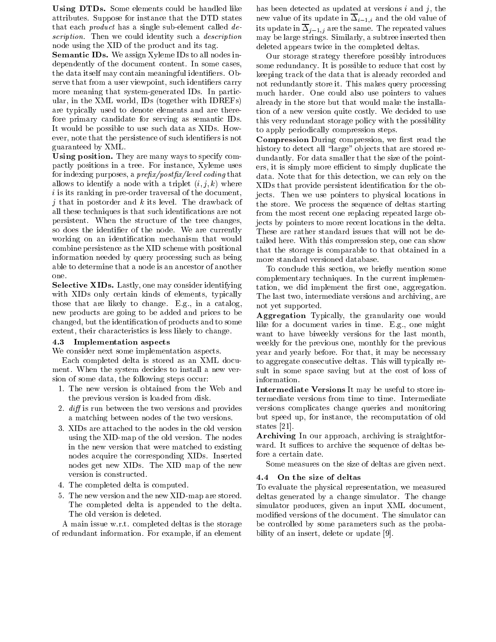Using DTDs. Some elements could be handled like attributes. Suppose for instance that the DTD states that each *product* has a single sub-element called  $de$ scription. Then we could identity such a *description* node using the XID of the product and its tag.

Semantic IDs. We assign Xyleme IDs to all nodes independently of the document content. In some cases, the data itself may contain meaningful identifiers. Observe that from a user viewpoint, such identiers carry more meaning that system-generated IDs. In particular, in the XML world, IDs (together with IDREFs) are typically used to denote elements and are therefore primary candidate for serving as semantic IDs. It would be possible to use such data as XIDs. How ever, note that the persistence of such identifiers is not guaranteed by XML.

Using position. They are many ways to specify compactly positions in a tree. For instance, Xyleme uses for indexing purposes, a  $prefix/postfix/level\ coding\ that$ allows to identify a node with a triplet  $(i, j, k)$  where i is its ranking in pre-order traversal of the document, j that in postorder and k its level. The drawback of all these techniques is that such identifications are not persistent. When the structure of the tree changes, so does the identifier of the node. We are currently working on an identification mechanism that would combine persistence as the XID scheme with positional information needed by query processing such as being able to determine that a node is an ancestor of another

Selective XIDs. Lastly, one may consider identifying with XIDs only certain kinds of elements, typically those that are likely to change. E.g., in a catalog, new products are going to be added and prices to be changed, but the identication of products and to some extent, their characteristics is less likely to change.

### 4.3 Implementation aspects

We consider next some implementation aspects.

Each completed delta is stored as an XML document. When the system decides to install a new version of some data, the following steps occur:

- 1. The new version is obtained from the Web and the previous version is loaded from disk.
- 2. *diff* is run between the two versions and provides a matching between nodes of the two versions.
- 3. XIDs are attached to the nodes in the old version using the XID-map of the old version. The nodes in the new version that were matched to existing nodes acquire the corresponding XIDs. Inserted nodes get new XIDs. The XID map of the new version is constructed.
- 4. The completed delta is computed.
- 5. The new version and the new XID-map are stored. The completed delta is appended to the delta. The old version is deleted.

A main issue w.r.t. completed deltas is the storage of redundant information. For example, if an element

has been detected as updated at versions  $i$  and  $j$ , the new value of its update in  $\overline{\Delta}_{i-1,i}$  and the old value of its update in  $\overline{\Delta}_{j-1,j}$  are the same. The repeated values may be large strings. Similarly, a subtree inserted then deleted appears twice in the completed deltas.

Our storage strategy therefore possibly introduces some redundancy. It is possible to reduce that cost by keeping track of the data that is already recorded and not redundantly store it. This makes query processing much harder. One could also use pointers to values already in the store but that would make the installation of a new version quite costly. We decided to use this very redundant storage policy with the possibility to apply periodically compression steps.

**Compression** During compression, we first read the history to detect all "large" objects that are stored redundantly. For data smaller that the size of the pointers, it is simply more efficient to simply duplicate the data. Note that for this detection, we can rely on the XIDs that provide persistent identication for the objects. Then we use pointers to physical locations in the store. We process the sequence of deltas starting from the most recent one replacing repeated large objects by pointers to more recent locations in the delta. These are rather standard issues that will not be detailed here. With this compression step, one can show that the storage is comparable to that obtained in a more standard versioned database.

To conclude this section, we briefly mention some complementary techniques. In the current implementation, we did implement the first one, aggregation. The last two, intermediate versions and archiving, are not yet supported.

Aggregation Typically, the granularity one would like for a document varies in time. E.g., one might want to have biweekly versions for the last month, weekly for the previous one, monthly for the previous year and yearly before. For that, it may be necessary to aggregate consecutive deltas. This will typically result in some space saving but at the cost of loss of information.

Intermediate Versions It may be useful to store intermediate versions from time to time. Intermediate versions complicates change queries and monitoring but speed up, for instance, the recomputation of old states [21].

Archiving In our approach, archiving is straightfor ward. It suffices to archive the sequence of deltas before a certain date.

Some measures on the size of deltas are given next.

# 4.4 On the size of deltas

To evaluate the physical representation, we measured deltas generated by a change simulator. The change simulator produces, given an input XML document, modied versions of the document. The simulator can be controlled by some parameters such as the probability of an insert, delete or update [9].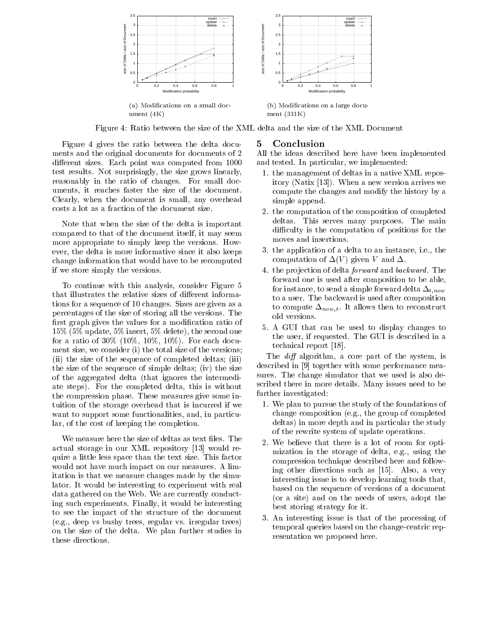

ment (331K)

Figure 4: Ratio between the size of the XML delta and the size of the XML Document

Figure 4 gives the ratio between the delta documents and the original documents for documents of 2 different sizes. Each point was computed from 1000 test results. Not surprisingly, the size grows linearly, reasonably in the ratio of changes. For small documents, it reaches faster the size of the document. Clearly, when the document is small, any overhead costs a lot as a fraction of the document size.

ument (4K)

Note that when the size of the delta is important compared to that of the document itself, it may seem more appropriate to simply keep the versions. How ever, the delta is more informative since it also keeps change information that would have to be recomputed if we store simply the versions.

To continue with this analysis, consider Figure 5 that illustrates the relative sizes of different informations for a sequence of 10 changes. Sizes are given as a percentages of the size of storing all the versions. The first graph gives the values for a modification ratio of 15% (5% update, 5% insert, 5% delete), the second one for a ratio of  $30\%$  ( $10\%$ ,  $10\%$ ,  $10\%$ ). For each document size, we consider (i) the total size of the versions; (ii) the size of the sequence of completed deltas; (iii) the size of the sequence of simple deltas; (iv) the size of the aggregated delta (that ignores the intermediate steps). For the completed delta, this is without the compression phase. These measures give some intuition of the storage overhead that is incurred if we want to support some functionalities, and, in particular, of the cost of keeping the completion.

We measure here the size of deltas as text files. The actual storage in our XML repository [13] would require a little less space than the text size. This factor would not have much impact on our measures. A limitation is that we measure changes made by the simulator. It would be interesting to experiment with real data gathered on the Web. We are currently conducting such experiments. Finally, it would be interesting to see the impact of the structure of the document (e.g., deep vs bushy trees, regular vs. irregular trees) on the size of the delta. We plan further studies in these directions.

### 5Conclusion

All the ideas described here have been implemented and tested. In particular, we implemented:

- 1. the management of deltas in a native XML repository (Natix [13]). When a new version arrives we compute the changes and modify the history by a simple append.
- 2. the computation of the composition of completed deltas. This serves many purposes. The main difficulty is the computation of positions for the moves and insertions.
- 3. the application of a delta to an instance, i.e., the computation of  $\Delta(V)$  given V and  $\Delta$ .
- 4. the projection of delta *forward* and *backward*. The forward one is used after composition to be able, for instance, to send a simple forward delta  $\Delta_{t,now}$ to a user. The backward is used after composition to compute  $\Delta_{now,t}$ . It allows then to reconstruct old versions.
- 5. A GUI that can be used to display changes to the user, if requested. The GUI is described in a technical report [18].

The  $diff$  algorithm, a core part of the system, is described in [9] together with some performance measures. The change simulator that we used is also described there in more details. Many issues need to be further investigated:

- 1. We plan to pursue the study of the foundations of change composition (e.g., the group of completed deltas) in more depth and in particular the study of the rewrite system of update operations.
- 2. We believe that there is a lot of room for optimization in the storage of delta, e.g., using the compression technique described here and following other directions such as [15]. Also, a very interesting issue is to develop learning tools that, based on the sequence of versions of a document (or a site) and on the needs of users, adopt the best storing strategy for it.
- 3. An interesting issue is that of the processing of temporal queries based on the change-centric representation we proposed here.